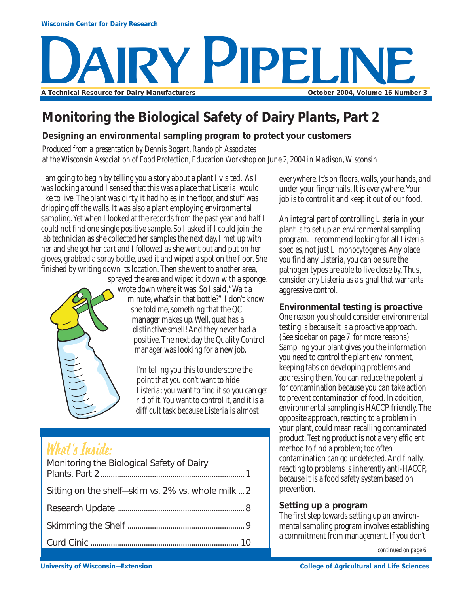# **RY PIPELINE** A Technical Resource for Dairy Manufacturers **A Construction Construction Construction** October 2004, Volume 16 Number 3

## **Monitoring the Biological Safety of Dairy Plants, Part 2**

#### **Designing an environmental sampling program to protect your customers**

*Produced from a presentation by Dennis Bogart, Randolph Associates at the Wisconsin Association of Food Protection, Education Workshop on June 2, 2004 in Madison, Wisconsin*

I am going to begin by telling you a story about a plant I visited. As I was looking around I sensed that this was a place that *Listeria* would like to live. The plant was dirty, it had holes in the floor, and stuff was dripping off the walls. It was also a plant employing environmental sampling. Yet when I looked at the records from the past year and half I could not find one single positive sample. So I asked if I could join the lab technician as she collected her samples the next day. I met up with her and she got her cart and I followed as she went out and put on her gloves, grabbed a spray bottle, used it and wiped a spot on the floor. She finished by writing down its location. Then she went to another area,



sprayed the area and wiped it down with a sponge, wrote down where it was. So I said, "Wait a minute, what's in that bottle?" I don't know she told me, something that the QC manager makes up. Well, quat has a distinctive smell! And they never had a positive. The next day the Quality Control manager was looking for a new job.

> I'm telling you this to underscore the point that you don't want to hide *Listeria*; you want to find it so you can get rid of it. You want to control it, and it is a difficult task because *Listeria* is almost

# What's Inside:

| Monitoring the Biological Safety of Dairy          |
|----------------------------------------------------|
| Sitting on the shelf-skim vs. 2% vs. whole milk  2 |
|                                                    |
|                                                    |
|                                                    |
|                                                    |

everywhere. It's on floors, walls, your hands, and under your fingernails. It is everywhere. Your job is to control it and keep it out of our food.

An integral part of controlling *Listeria* in your plant is to set up an environmental sampling program. I recommend looking for all *Listeria* species, not just *L. monocytogenes*. Any place you find any *Listeria*, you can be sure the pathogen types are able to live close by. Thus, consider any *Listeria* as a signal that warrants aggressive control.

#### **Environmental testing is proactive**

One reason you should consider environmental testing is because it is a proactive approach. (See sidebar on page 7 for more reasons) Sampling your plant gives you the information you need to control the plant environment, keeping tabs on developing problems and addressing them. You can reduce the potential for contamination because you can take action to prevent contamination of food. In addition, environmental sampling is HACCP friendly. The opposite approach, reacting to a problem in your plant, could mean recalling contaminated product. Testing product is not a very efficient method to find a problem; too often contamination can go undetected. And finally, reacting to problems is inherently anti-HACCP, because it is a food safety system based on prevention.

#### **Setting up a program**

The first step towards setting up an environmental sampling program involves establishing a commitment from management. If you don't

*continued on page 6*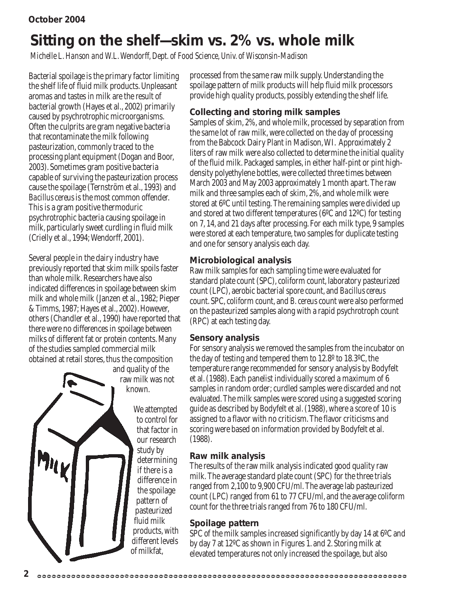# **Sitting on the shelf—skim vs. 2% vs. whole milk**

*Michelle L. Hanson and W.L. Wendorff, Dept. of Food Science, Univ. of Wisconsin-Madison*

Bacterial spoilage is the primary factor limiting the shelf life of fluid milk products. Unpleasant aromas and tastes in milk are the result of bacterial growth (Hayes et al., 2002) primarily caused by psychrotrophic microorganisms. Often the culprits are gram negative bacteria that recontaminate the milk following pasteurization, commonly traced to the processing plant equipment (Dogan and Boor, 2003). Sometimes gram positive bacteria capable of surviving the pasteurization process cause the spoilage (Ternström et al., 1993) and *Bacillus cereus* is the most common offender. This is a gram positive thermoduric psychrotrophic bacteria causing spoilage in milk, particularly sweet curdling in fluid milk (Crielly et al., 1994; Wendorff, 2001).

Several people in the dairy industry have previously reported that skim milk spoils faster than whole milk. Researchers have also indicated differences in spoilage between skim milk and whole milk (Janzen et al., 1982; Pieper & Timms, 1987; Hayes et al., 2002). However, others (Chandler et al., 1990) have reported that there were no differences in spoilage between milks of different fat or protein contents. Many of the studies sampled commercial milk obtained at retail stores, thus the composition

and quality of the raw milk was not known.

> We attempted to control for that factor in our research study by determining if there is a difference in the spoilage pattern of pasteurized fluid milk products, with different levels of milkfat,

processed from the same raw milk supply. Understanding the spoilage pattern of milk products will help fluid milk processors provide high quality products, possibly extending the shelf life.

#### **Collecting and storing milk samples**

Samples of skim, 2%, and whole milk, processed by separation from the same lot of raw milk, were collected on the day of processing from the Babcock Dairy Plant in Madison, WI. Approximately 2 liters of raw milk were also collected to determine the initial quality of the fluid milk. Packaged samples, in either half-pint or pint highdensity polyethylene bottles, were collected three times between March 2003 and May 2003 approximately 1 month apart. The raw milk and three samples each of skim, 2%, and whole milk were stored at 6ºC until testing. The remaining samples were divided up and stored at two different temperatures (6ºC and 12ºC) for testing on 7, 14, and 21 days after processing. For each milk type, 9 samples were stored at each temperature, two samples for duplicate testing and one for sensory analysis each day.

#### **Microbiological analysis**

Raw milk samples for each sampling time were evaluated for standard plate count (SPC), coliform count, laboratory pasteurized count (LPC), aerobic bacterial spore count, and *Bacillus cereus* count. SPC, coliform count, and *B. cereus* count were also performed on the pasteurized samples along with a rapid psychrotroph count (RPC) at each testing day.

#### **Sensory analysis**

For sensory analysis we removed the samples from the incubator on the day of testing and tempered them to 12.8º to 18.3ºC, the temperature range recommended for sensory analysis by Bodyfelt et al. (1988). Each panelist individually scored a maximum of 6 samples in random order; curdled samples were discarded and not evaluated. The milk samples were scored using a suggested scoring guide as described by Bodyfelt et al. (1988), where a score of 10 is assigned to a flavor with no criticism. The flavor criticisms and scoring were based on information provided by Bodyfelt et al. (1988).

#### **Raw milk analysis**

The results of the raw milk analysis indicated good quality raw milk. The average standard plate count (SPC) for the three trials ranged from 2,100 to 9,900 CFU/ml. The average lab pasteurized count (LPC) ranged from 61 to 77 CFU/ml, and the average coliform count for the three trials ranged from 76 to 180 CFU/ml.

#### **Spoilage pattern**

SPC of the milk samples increased significantly by day 14 at 6ºC and by day 7 at 12ºC as shown in Figures 1. and 2. Storing milk at elevated temperatures not only increased the spoilage, but also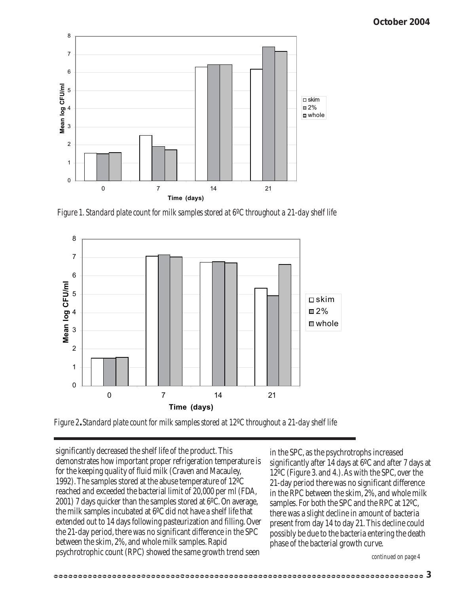

*Figure 1. Standard plate count for milk samples stored at 6ºC throughout a 21-day shelf life*



*Figure 2. Standard plate count for milk samples stored at 12ºC throughout a 21-day shelf life*

significantly decreased the shelf life of the product. This demonstrates how important proper refrigeration temperature is for the keeping quality of fluid milk (Craven and Macauley, 1992). The samples stored at the abuse temperature of 12ºC reached and exceeded the bacterial limit of 20,000 per ml (FDA, 2001) 7 days quicker than the samples stored at 6ºC. On average, the milk samples incubated at 6ºC did not have a shelf life that extended out to 14 days following pasteurization and filling. Over the 21-day period, there was no significant difference in the SPC between the skim, 2%, and whole milk samples. Rapid psychrotrophic count (RPC) showed the same growth trend seen

in the SPC, as the psychrotrophs increased significantly after 14 days at 6ºC and after 7 days at 12ºC (Figure 3. and 4.). As with the SPC, over the 21-day period there was no significant difference in the RPC between the skim, 2%, and whole milk samples. For both the SPC and the RPC at 12ºC, there was a slight decline in amount of bacteria present from day 14 to day 21. This decline could possibly be due to the bacteria entering the death phase of the bacterial growth curve.

*continued on page 4*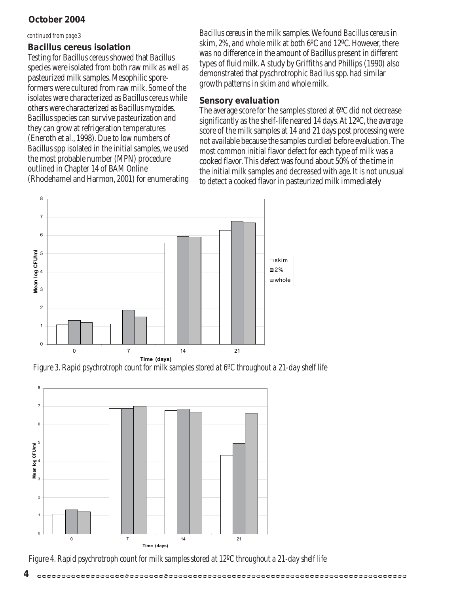#### **October 2004**

#### *continued from page 3*

#### *Bacillus cereus* **isolation**

Testing for *Bacillus cereus* showed that *Bacillus* species were isolated from both raw milk as well as pasteurized milk samples. Mesophilic sporeformers were cultured from raw milk. Some of the isolates were characterized as *Bacillus cereus* while others were characterized as *Bacillus mycoides*. *Bacillus* species can survive pasteurization and they can grow at refrigeration temperatures (Eneroth et al., 1998). Due to low numbers of *Bacillus* spp isolated in the initial samples, we used the most probable number (MPN) procedure outlined in Chapter 14 of BAM *Online* (Rhodehamel and Harmon, 2001) for enumerating

*Bacillus cereus* in the milk samples. We found *Bacillus cereus* in skim, 2%, and whole milk at both 6ºC and 12ºC. However, there was no difference in the amount of *Bacillus* present in different types of fluid milk. A study by Griffiths and Phillips (1990) also demonstrated that pyschrotrophic *Bacillus* spp. had similar growth patterns in skim and whole milk.

#### **Sensory evaluation**

The average score for the samples stored at 6ºC did not decrease significantly as the shelf-life neared 14 days. At 12ºC, the average score of the milk samples at 14 and 21 days post processing were not available because the samples curdled before evaluation. The most common initial flavor defect for each type of milk was a cooked flavor. This defect was found about 50% of the time in the initial milk samples and decreased with age. It is not unusual to detect a cooked flavor in pasteurized milk immediately



*Figure 3. Rapid psychrotroph count for milk samples stored at 6ºC throughout a 21-day shelf life*



*Figure 4. Rapid psychrotroph count for milk samples stored at 12ºC throughout a 21-day shelf life*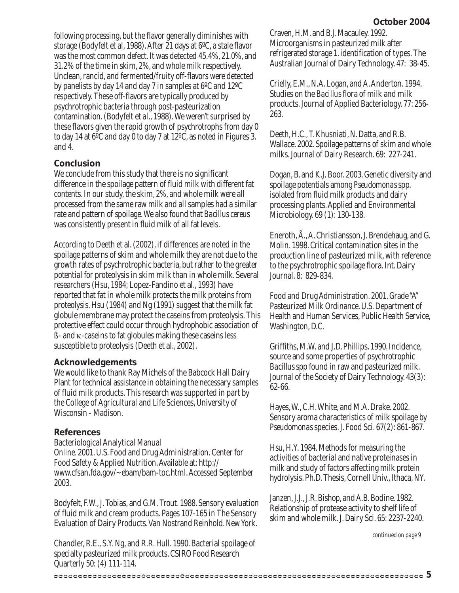following processing, but the flavor generally diminishes with storage (Bodyfelt et al, 1988). After 21 days at 6ºC, a stale flavor was the most common defect. It was detected 45.4%, 21.0%, and 31.2% of the time in skim, 2%, and whole milk respectively. Unclean, rancid, and fermented/fruity off-flavors were detected by panelists by day 14 and day 7 in samples at 6ºC and 12ºC respectively. These off-flavors are typically produced by psychrotrophic bacteria through post-pasteurization contamination. (Bodyfelt et al., 1988). We weren't surprised by these flavors given the rapid growth of psychrotrophs from day 0 to day 14 at 6ºC and day 0 to day 7 at 12ºC, as noted in Figures 3. and 4.

#### **Conclusion**

We conclude from this study that there is no significant difference in the spoilage pattern of fluid milk with different fat contents. In our study, the skim, 2%, and whole milk were all processed from the same raw milk and all samples had a similar rate and pattern of spoilage. We also found that *Bacillus cereus* was consistently present in fluid milk of all fat levels.

According to Deeth et al. (2002), if differences are noted in the spoilage patterns of skim and whole milk they are not due to the growth rates of psychrotrophic bacteria, but rather to the greater potential for proteolysis in skim milk than in whole milk. Several researchers (Hsu, 1984; Lopez-Fandino et al., 1993) have reported that fat in whole milk protects the milk proteins from proteolysis. Hsu (1984) and Ng (1991) suggest that the milk fat globule membrane may protect the caseins from proteolysis. This protective effect could occur through hydrophobic association of ß- and κ-caseins to fat globules making these caseins less susceptible to proteolysis (Deeth et al., 2002).

#### **Acknowledgements**

We would like to thank Ray Michels of the Babcock Hall Dairy Plant for technical assistance in obtaining the necessary samples of fluid milk products. This research was supported in part by the College of Agricultural and Life Sciences, University of Wisconsin - Madison.

#### **References**

Bacteriological Analytical Manual *Online*. 2001. U.S. Food and Drug Administration. Center for Food Safety & Applied Nutrition. Available at: http:// www.cfsan.fda.gov/~ebam/bam-toc.html. Accessed September 2003.

Bodyfelt, F.W., J. Tobias, and G.M. Trout. 1988. Sensory evaluation of fluid milk and cream products. Pages 107-165 *in* The Sensory Evaluation of Dairy Products. Van Nostrand Reinhold. New York.

Chandler, R.E., S.Y. Ng, and R.R. Hull. 1990. Bacterial spoilage of specialty pasteurized milk products. CSIRO Food Research Quarterly 50: (4) 111-114.

Craven, H.M. and B.J. Macauley. 1992. Microorganisms in pasteurized milk after refrigerated storage 1. identification of types. The Australian Journal of Dairy Technology. 47: 38-45.

Crielly, E.M., N.A. Logan, and A. Anderton. 1994. Studies on the *Bacillus* flora of milk and milk products. Journal of Applied Bacteriology. 77: 256- 263.

Deeth, H.C., T. Khusniati, N. Datta, and R.B. Wallace. 2002. Spoilage patterns of skim and whole milks. Journal of Dairy Research. 69: 227-241.

Dogan, B. and K.J. Boor. 2003. Genetic diversity and spoilage potentials among *Pseudomonas*spp. isolated from fluid milk products and dairy processing plants. Applied and Environmental Microbiology. 69 (1): 130-138.

Eneroth, Å., A. Christiansson, J. Brendehaug, and G. Molin. 1998. Critical contamination sites in the production line of pasteurized milk, with reference to the psychrotrophic spoilage flora. Int. Dairy Journal. 8: 829-834.

Food and Drug Administration. 2001. Grade "A" Pasteurized Milk Ordinance. U.S. Department of Health and Human Services, Public Health Service, Washington, D.C.

Griffiths, M.W. and J.D. Phillips. 1990. Incidence, source and some properties of psychrotrophic *Bacillus* spp found in raw and pasteurized milk. Journal of the Society of Dairy Technology. 43(3): 62-66.

Hayes, W., C.H. White, and M.A. Drake. 2002. Sensory aroma characteristics of milk spoilage by *Pseudomonas* species. J. Food Sci. 67(2): 861-867.

Hsu, H.Y. 1984. Methods for measuring the activities of bacterial and native proteinases in milk and study of factors affecting milk protein hydrolysis. Ph.D. Thesis, Cornell Univ., Ithaca, NY.

Janzen, J.J., J.R. Bishop, and A.B. Bodine. 1982. Relationship of protease activity to shelf life of skim and whole milk. J. Dairy Sci. 65: 2237-2240.

*continued on page 9*

#### **5**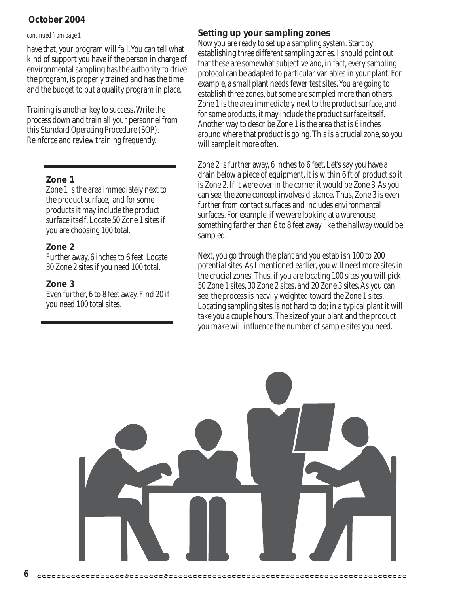#### **October 2004**

#### *continued from page 1*

have that, your program will fail. You can tell what kind of support you have if the person in charge of environmental sampling has the authority to drive the program, is properly trained and has the time and the budget to put a quality program in place.

Training is another key to success. Write the process down and train all your personnel from this Standard Operating Procedure (SOP). Reinforce and review training frequently.

#### **Zone 1**

Zone 1 is the area immediately next to the product surface, and for some products it may include the product surface itself. Locate 50 Zone 1 sites if you are choosing 100 total.

#### **Zone 2**

Further away, 6 inches to 6 feet. Locate 30 Zone 2 sites if you need 100 total.

#### **Zone 3**

**6**

Even further, 6 to 8 feet away. Find 20 if you need 100 total sites.

#### **Setting up your sampling zones**

Now you are ready to set up a sampling system. Start by establishing three different sampling zones. I should point out that these are somewhat subjective and, in fact, every sampling protocol can be adapted to particular variables in your plant. For example, a small plant needs fewer test sites. You are going to establish three zones, but some are sampled more than others. Zone 1 is the area immediately next to the product surface, and for some products, it may include the product surface itself. Another way to describe Zone 1 is the area that is 6 inches around where that product is going. This is a crucial zone, so you will sample it more often.

Zone 2 is further away, 6 inches to 6 feet. Let's say you have a drain below a piece of equipment, it is within 6 ft of product so it is Zone 2. If it were over in the corner it would be Zone 3. As you can see, the zone concept involves distance. Thus, Zone 3 is even further from contact surfaces and includes environmental surfaces. For example, if we were looking at a warehouse, something farther than 6 to 8 feet away like the hallway would be sampled.

Next, you go through the plant and you establish 100 to 200 potential sites. As I mentioned earlier, you will need more sites in the crucial zones. Thus, if you are locating 100 sites you will pick 50 Zone 1 sites, 30 Zone 2 sites, and 20 Zone 3 sites. As you can see, the process is heavily weighted toward the Zone 1 sites. Locating sampling sites is not hard to do; in a typical plant it will take you a couple hours. The size of your plant and the product you make will influence the number of sample sites you need.

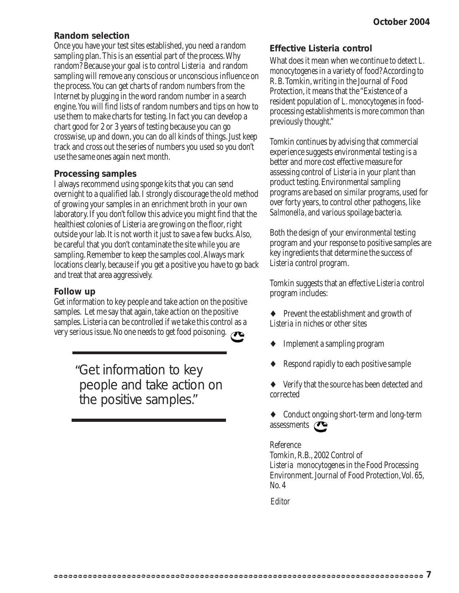#### **Random selection**

Once you have your test sites established, you need a random sampling plan. This is an essential part of the process. Why random? Because your goal is to control *Listeria* and random sampling will remove any conscious or unconscious influence on the process. You can get charts of random numbers from the Internet by plugging in the word random number in a search engine. You will find lists of random numbers and tips on how to use them to make charts for testing. In fact you can develop a chart good for 2 or 3 years of testing because you can go crosswise, up and down, you can do all kinds of things. Just keep track and cross out the series of numbers you used so you don't use the same ones again next month.

#### **Processing samples**

I always recommend using sponge kits that you can send overnight to a qualified lab. I strongly discourage the old method of growing your samples in an enrichment broth in your own laboratory. If you don't follow this advice you might find that the healthiest colonies of *Listeria* are growing on the floor, right outside your lab. It is not worth it just to save a few bucks. Also, be careful that you don't contaminate the site while you are sampling. Remember to keep the samples cool. Always mark locations clearly, because if you get a positive you have to go back and treat that area aggressively.

#### **Follow up**

Get information to key people and take action on the positive samples. Let me say that again, take action on the positive samples. Listeria can be controlled if we take this control as a very serious issue. No one needs to get food poisoning.

> Get information to key "people and take action on the positive samples."

#### **Effective** *Listeria* **control**

What does it mean when we continue to detect *L. monocytogenes* in a variety of food? According to R. B. Tomkin, writing in the Journal of Food Protection, it means that the "Existence of a resident population of *L. monocytogenes* in foodprocessing establishments is more common than previously thought."

Tomkin continues by advising that commercial experience suggests environmental testing is a better and more cost effective measure for assessing control of *Listeria* in your plant than product testing. Environmental sampling programs are based on similar programs, used for over forty years, to control other pathogens, like *Salmonella*, and various spoilage bacteria.

Both the design of your environmental testing program and your response to positive samples are key ingredients that determine the success of *Listeria* control program.

Tomkin suggests that an effective *Listeria* control program includes:

- ♦ Prevent the establishment and growth of *Listeria* in niches or other sites
- Implement a sampling program
- Respond rapidly to each positive sample
- Verify that the source has been detected and corrected
- ♦ Conduct ongoing short-term and long-term assessments  $\curvearrowright$

Reference Tomkin, R.B., 2002 Control of *Listeria monocytogenes* in the Food Processing Environment. Journal of Food Protection, Vol. 65, No. 4

*Editor*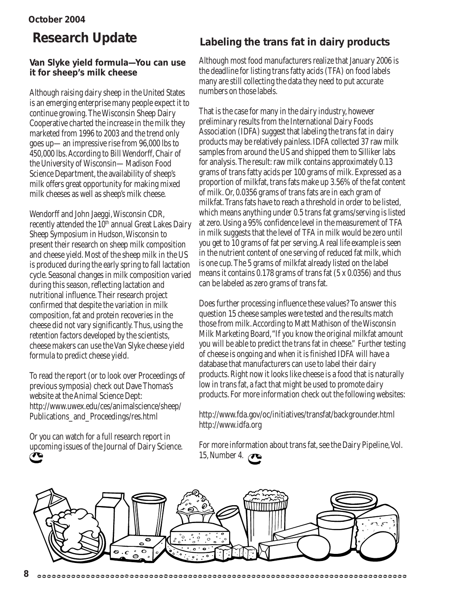#### **October 2004**

#### **Van Slyke yield formula—You can use it for sheep's milk cheese**

Although raising dairy sheep in the United States is an emerging enterprise many people expect it to continue growing. The Wisconsin Sheep Dairy Cooperative charted the increase in the milk they marketed from 1996 to 2003 and the trend only goes up—an impressive rise from 96,000 lbs to 450,000 lbs. According to Bill Wendorff, Chair of the University of Wisconsin—Madison Food Science Department, the availability of sheep's milk offers great opportunity for making mixed milk cheeses as well as sheep's milk cheese.

Wendorff and John Jaeggi, Wisconsin CDR, recently attended the 10<sup>th</sup> annual Great Lakes Dairy Sheep Symposium in Hudson, Wisconsin to present their research on sheep milk composition and cheese yield. Most of the sheep milk in the US is produced during the early spring to fall lactation cycle. Seasonal changes in milk composition varied during this season, reflecting lactation and nutritional influence. Their research project confirmed that despite the variation in milk composition, fat and protein recoveries in the cheese did not vary significantly. Thus, using the retention factors developed by the scientists, cheese makers can use the Van Slyke cheese yield formula to predict cheese yield.

To read the report (or to look over Proceedings of previous symposia) check out Dave Thomas's website at the Animal Science Dept: http://www.uwex.edu/ces/animalscience/sheep/ Publications\_and\_Proceedings/res.html

Or you can watch for a full research report in upcoming issues of the Journal of Dairy Science.

### **Research Update Labeling the trans fat in dairy products**

Although most food manufacturers realize that January 2006 is the deadline for listing trans fatty acids (TFA) on food labels many are still collecting the data they need to put accurate numbers on those labels.

That is the case for many in the dairy industry, however preliminary results from the International Dairy Foods Association (IDFA) suggest that labeling the trans fat in dairy products may be relatively painless. IDFA collected 37 raw milk samples from around the US and shipped them to Silliker labs for analysis. The result: raw milk contains approximately 0.13 grams of trans fatty acids per 100 grams of milk. Expressed as a proportion of milkfat, trans fats make up 3.56% of the fat content of milk. Or, 0.0356 grams of trans fats are in each gram of milkfat. Trans fats have to reach a threshold in order to be listed, which means anything under 0.5 trans fat grams/serving is listed at zero. Using a 95% confidence level in the measurement of TFA in milk suggests that the level of TFA in milk would be zero until you get to 10 grams of fat per serving. A real life example is seen in the nutrient content of one serving of reduced fat milk, which is one cup. The 5 grams of milkfat already listed on the label means it contains 0.178 grams of trans fat (5 x 0.0356) and thus can be labeled as zero grams of trans fat.

Does further processing influence these values? To answer this question 15 cheese samples were tested and the results match those from milk. According to Matt Mathison of the Wisconsin Milk Marketing Board, "If you know the original milkfat amount you will be able to predict the trans fat in cheese." Further testing of cheese is ongoing and when it is finished IDFA will have a database that manufacturers can use to label their dairy products. Right now it looks like cheese is a food that is naturally low in trans fat, a fact that might be used to promote dairy products. For more information check out the following websites:

http://www.fda.gov/oc/initiatives/transfat/backgrounder.html http://www.idfa.org

For more information about trans fat, see the Dairy Pipeline, Vol. 15, Number 4. **T** 

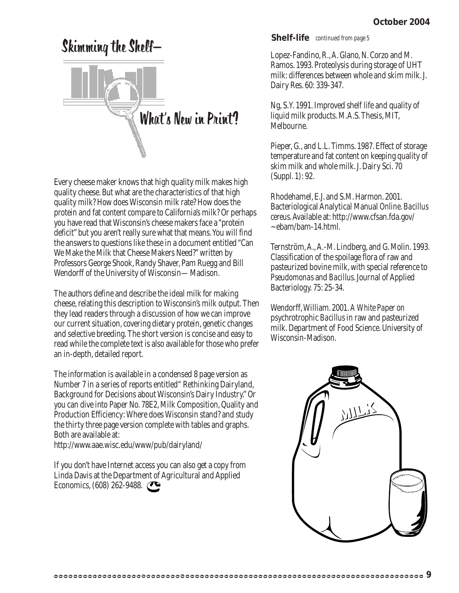# Skimming the Shelf— What's New in Print?

Every cheese maker knows that high quality milk makes high quality cheese. But what are the characteristics of that high quality milk? How does Wisconsin milk rate? How does the protein and fat content compare to California's milk? Or perhaps you have read that Wisconsin's cheese makers face a "protein deficit" but you aren't really sure what that means. You will find the answers to questions like these in a document entitled "Can We Make the Milk that Cheese Makers Need?" written by Professors George Shook, Randy Shaver, Pam Ruegg and Bill Wendorff of the University of Wisconsin—Madison.

The authors define and describe the ideal milk for making cheese, relating this description to Wisconsin's milk output. Then they lead readers through a discussion of how we can improve our current situation, covering dietary protein, genetic changes and selective breeding. The short version is concise and easy to read while the complete text is also available for those who prefer an in-depth, detailed report.

The information is available in a condensed 8 page version as Number 7 in a series of reports entitled" Rethinking Dairyland, Background for Decisions about Wisconsin's Dairy Industry." Or you can dive into Paper No. 78E2, Milk Composition, Quality and Production Efficiency: Where does Wisconsin stand? and study the thirty three page version complete with tables and graphs. Both are available at:

http://www.aae.wisc.edu/www/pub/dairyland/

If you don't have Internet access you can also get a copy from Linda Davis at the Department of Agricultural and Applied Economics, (608) 262-9488.

**Shelf-life** *continued from page 5*

Lopez-Fandino, R., A. Glano, N. Corzo and M. Ramos. 1993. Proteolysis during storage of UHT milk: differences between whole and skim milk. J. Dairy Res. 60: 339-347.

Ng, S.Y. 1991. Improved shelf life and quality of liquid milk products. M.A.S. Thesis, MIT, Melbourne.

Pieper, G., and L.L. Timms. 1987. Effect of storage temperature and fat content on keeping quality of skim milk and whole milk. J. Dairy Sci. 70 (Suppl. 1): 92.

Rhodehamel, E.J. and S.M. Harmon. 2001. Bacteriological Analytical Manual *Online*. *Bacillus cereus*. Available at: http://www.cfsan.fda.gov/ ~ebam/bam-14.html.

Ternström, A., A.-M. Lindberg, and G. Molin. 1993. Classification of the spoilage flora of raw and pasteurized bovine milk, with special reference to *Pseudomonas* and *Bacillus*. Journal of Applied Bacteriology. 75: 25-34.

Wendorff, William. 2001. *A White Paper on* psychrotrophic *Bacillus* in raw and pasteurized milk. Department of Food Science. University of Wisconsin-Madison.

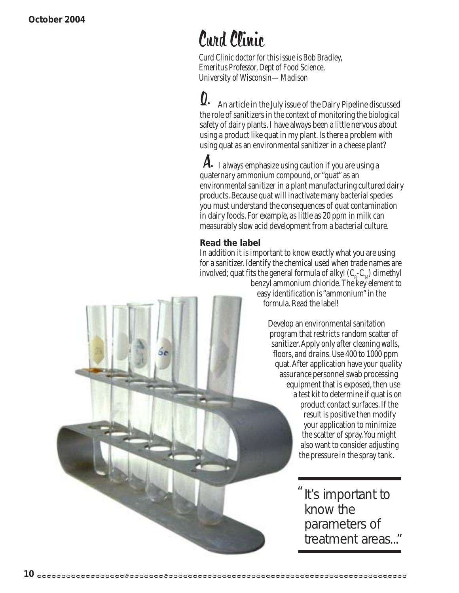# Curd Clinic

*Curd Clinic doctor for this issue is Bob Bradley, Emeritus Professor, Dept of Food Science, University of Wisconsin—Madison*

 An article in the July issue of the Dairy Pipeline discussed the role of sanitizers in the context of monitoring the biological safety of dairy plants. I have always been a little nervous about using a product like quat in my plant. Is there a problem with using quat as an environmental sanitizer in a cheese plant?  $\boldsymbol{0}$ 

 I always emphasize using caution if you are using a quaternary ammonium compound, or "quat" as an environmental sanitizer in a plant manufacturing cultured dairy products. Because quat will inactivate many bacterial species you must understand the consequences of quat contamination in dairy foods. For example, as little as 20 ppm in milk can measurably slow acid development from a bacterial culture.  $\boldsymbol{\mathsf{A}}$ 

#### **Read the label**

In addition it is important to know exactly what you are using for a sanitizer. Identify the chemical used when trade names are involved; quat fits the general formula of alkyl  $(\mathsf{C}_{\mathsf{g}}\text{-}\mathsf{C}_{_{14}})$  dimethyl

benzyl ammonium chloride. The key element to easy identification is "ammonium" in the formula. Read the label!

> Develop an environmental sanitation program that restricts random scatter of sanitizer. Apply only after cleaning walls, floors, and drains. Use 400 to 1000 ppm quat. After application have your quality assurance personnel swab processing equipment that is exposed, then use a test kit to determine if quat is on product contact surfaces. If the result is positive then modify your application to minimize the scatter of spray. You might also want to consider adjusting the pressure in the spray tank.

> > It's important to know the parameters of treatment areas..."  $^{\prime\prime}$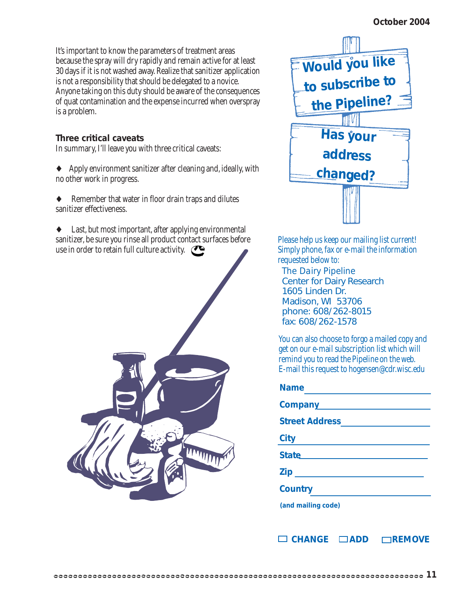It's important to know the parameters of treatment areas because the spray will dry rapidly and remain active for at least 30 days if it is not washed away. Realize that sanitizer application is not a responsibility that should be delegated to a novice. Anyone taking on this duty should be aware of the consequences of quat contamination and the expense incurred when overspray is a problem.

#### **Three critical caveats**

In summary, I'll leave you with three critical caveats:

- ♦ Apply environment sanitizer after cleaning and, ideally, with no other work in progress.
- Remember that water in floor drain traps and dilutes sanitizer effectiveness.

♦ Last, but most important, after applying environmental sanitizer, be sure you rinse all product contact surfaces before use in order to retain full culture activity.





Please help us keep our mailing list current! Simply phone, fax or e-mail the information requested below to:

*The Dairy Pipeline* Center for Dairy Research 1605 Linden Dr. Madison, WI 53706 phone: 608/262-8015 fax: 608/262-1578

You can also choose to forgo a mailed copy and get on our e-mail subscription list which will remind you to read the Pipeline on the web. E-mail this request to hogensen@cdr.wisc.edu

| <b>Name</b>                                                                                                                                                                    |
|--------------------------------------------------------------------------------------------------------------------------------------------------------------------------------|
| Company<br><u>Letter</u>                                                                                                                                                       |
| <b>Street Address</b>                                                                                                                                                          |
| <b>City</b>                                                                                                                                                                    |
| State <b>State State State State State State State State State State State State State State State State State State State State State State State State State State State</b> |
| <b>Ziperman</b>                                                                                                                                                                |
| <b>Country</b>                                                                                                                                                                 |
| (and mailing code)                                                                                                                                                             |

□ CHANGE □ ADD □ REMOVE